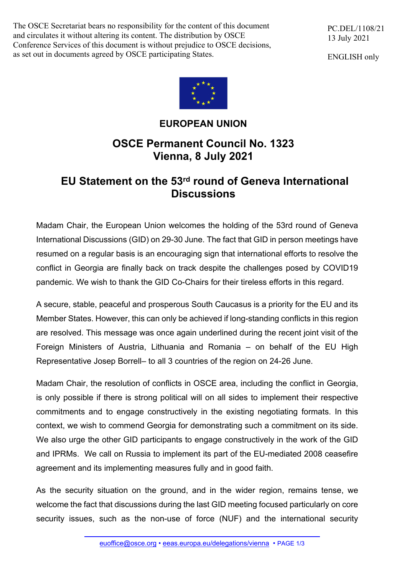The OSCE Secretariat bears no responsibility for the content of this document and circulates it without altering its content. The distribution by OSCE Conference Services of this document is without prejudice to OSCE decisions, as set out in documents agreed by OSCE participating States.

PC.DEL/1108/21 13 July 2021

ENGLISH only



## **EUROPEAN UNION**

## **OSCE Permanent Council No. 1323 Vienna, 8 July 2021**

## **EU Statement on the 53rd round of Geneva International Discussions**

Madam Chair, the European Union welcomes the holding of the 53rd round of Geneva International Discussions (GID) on 29-30 June. The fact that GID in person meetings have resumed on a regular basis is an encouraging sign that international efforts to resolve the conflict in Georgia are finally back on track despite the challenges posed by COVID19 pandemic. We wish to thank the GID Co-Chairs for their tireless efforts in this regard.

A secure, stable, peaceful and prosperous South Caucasus is a priority for the EU and its Member States. However, this can only be achieved if long-standing conflicts in this region are resolved. This message was once again underlined during the recent joint visit of the Foreign Ministers of Austria, Lithuania and Romania – on behalf of the EU High Representative Josep Borrell– to all 3 countries of the region on 24-26 June.

Madam Chair, the resolution of conflicts in OSCE area, including the conflict in Georgia, is only possible if there is strong political will on all sides to implement their respective commitments and to engage constructively in the existing negotiating formats. In this context, we wish to commend Georgia for demonstrating such a commitment on its side. We also urge the other GID participants to engage constructively in the work of the GID and IPRMs. We call on Russia to implement its part of the EU-mediated 2008 ceasefire agreement and its implementing measures fully and in good faith.

As the security situation on the ground, and in the wider region, remains tense, we welcome the fact that discussions during the last GID meeting focused particularly on core security issues, such as the non-use of force (NUF) and the international security

euoffice@osce.org • eeas.europa.eu/delegations/vienna • PAGE 1/3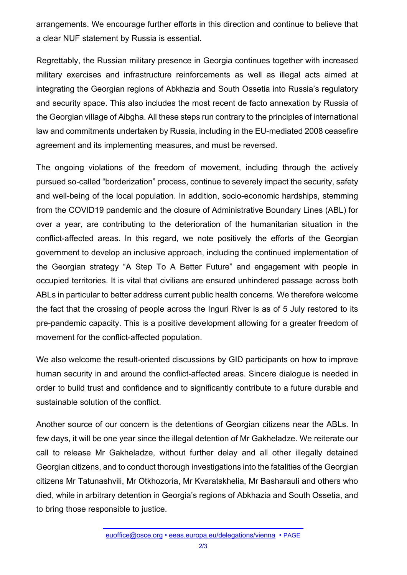arrangements. We encourage further efforts in this direction and continue to believe that a clear NUF statement by Russia is essential.

Regrettably, the Russian military presence in Georgia continues together with increased military exercises and infrastructure reinforcements as well as illegal acts aimed at integrating the Georgian regions of Abkhazia and South Ossetia into Russia's regulatory and security space. This also includes the most recent de facto annexation by Russia of the Georgian village of Aibgha. All these steps run contrary to the principles of international law and commitments undertaken by Russia, including in the EU-mediated 2008 ceasefire agreement and its implementing measures, and must be reversed.

The ongoing violations of the freedom of movement, including through the actively pursued so-called "borderization" process, continue to severely impact the security, safety and well-being of the local population. In addition, socio-economic hardships, stemming from the COVID19 pandemic and the closure of Administrative Boundary Lines (ABL) for over a year, are contributing to the deterioration of the humanitarian situation in the conflict-affected areas. In this regard, we note positively the efforts of the Georgian government to develop an inclusive approach, including the continued implementation of the Georgian strategy "A Step To A Better Future" and engagement with people in occupied territories. It is vital that civilians are ensured unhindered passage across both ABLs in particular to better address current public health concerns. We therefore welcome the fact that the crossing of people across the Inguri River is as of 5 July restored to its pre-pandemic capacity. This is a positive development allowing for a greater freedom of movement for the conflict-affected population.

We also welcome the result-oriented discussions by GID participants on how to improve human security in and around the conflict-affected areas. Sincere dialogue is needed in order to build trust and confidence and to significantly contribute to a future durable and sustainable solution of the conflict.

Another source of our concern is the detentions of Georgian citizens near the ABLs. In few days, it will be one year since the illegal detention of Mr Gakheladze. We reiterate our call to release Mr Gakheladze, without further delay and all other illegally detained Georgian citizens, and to conduct thorough investigations into the fatalities of the Georgian citizens Mr Tatunashvili, Mr Otkhozoria, Mr Kvaratskhelia, Mr Basharauli and others who died, while in arbitrary detention in Georgia's regions of Abkhazia and South Ossetia, and to bring those responsible to justice.